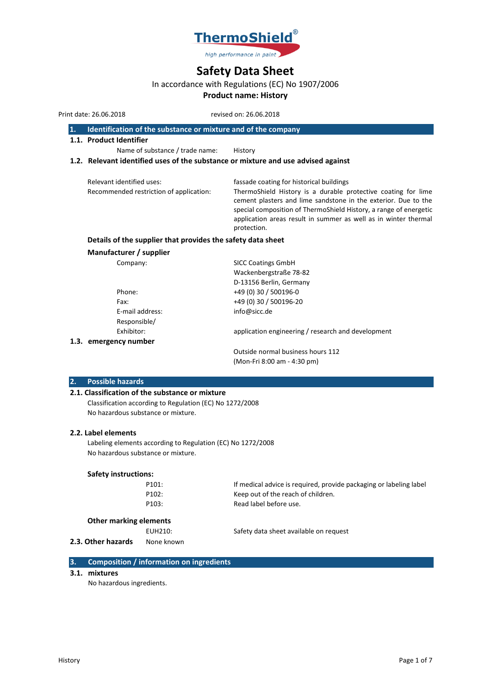

# **Safety Data Sheet**

## In accordance with Regulations (EC) No 1907/2006

# **Product name: History**

Print date: 26.06.2018 revised on: 26.06.2018

#### **1. Identification of the substance or mixture and of the company**

**1.1. Product Identifier**

Name of substance / trade name: History

## **1.2. Relevant identified uses of the substance or mixture and use advised against**

| Relevant identified uses:<br>Recommended restriction of application: | fassade coating for historical buildings<br>ThermoShield History is a durable protective coating for lime<br>cement plasters and lime sandstone in the exterior. Due to the<br>special composition of ThermoShield History, a range of energetic<br>application areas result in summer as well as in winter thermal |
|----------------------------------------------------------------------|---------------------------------------------------------------------------------------------------------------------------------------------------------------------------------------------------------------------------------------------------------------------------------------------------------------------|
|                                                                      | protection.                                                                                                                                                                                                                                                                                                         |

## **Details of the supplier that provides the safety data sheet**

## **Manufacturer / supplier**

| Company:              | <b>SICC Coatings GmbH</b>                          |
|-----------------------|----------------------------------------------------|
|                       | Wackenbergstraße 78-82                             |
|                       | D-13156 Berlin, Germany                            |
| Phone:                | +49 (0) 30 / 500196-0                              |
| Fax:                  | +49 (0) 30 / 500196-20                             |
| E-mail address:       | info@sicc.de                                       |
| Responsible/          |                                                    |
| Exhibitor:            | application engineering / research and development |
| 1.3. emergency number |                                                    |
|                       | Outside normal business hours 112                  |

(Mon-Fri 8:00 am - 4:30 pm)

### **2. Possible hazards**

#### **2.1. Classification of the substance or mixture**

Classification according to Regulation (EC) No 1272/2008 No hazardous substance or mixture.

### **2.2. Label elements**

Labeling elements according to Regulation (EC) No 1272/2008 No hazardous substance or mixture.

#### **Safety instructions:**

| P101: |  |
|-------|--|
| P102: |  |
| P103: |  |

If medical advice is required, provide packaging or labeling label Keep out of the reach of children. Read label before use.

## **Other marking elements**

**2.3. Other hazards** None known

EUH210: Safety data sheet available on request

## **3. Composition / information on ingredients**

#### **3.1. mixtures**

No hazardous ingredients.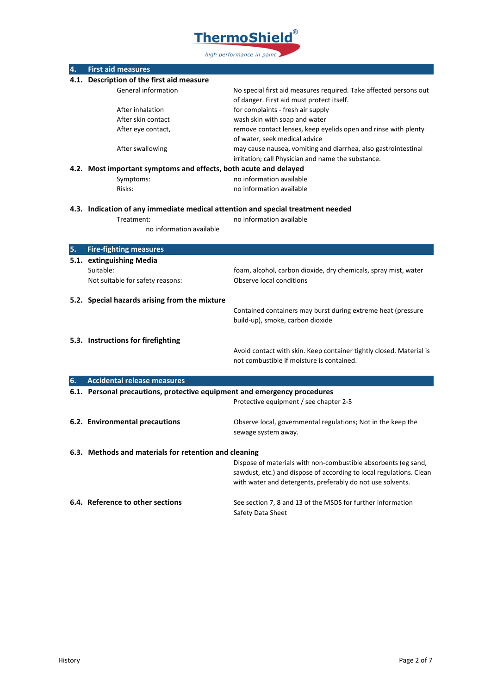

| 4. | <b>First aid measures</b>                                                                                   |                                                                                                                |
|----|-------------------------------------------------------------------------------------------------------------|----------------------------------------------------------------------------------------------------------------|
|    | 4.1. Description of the first aid measure                                                                   |                                                                                                                |
|    | General information                                                                                         | No special first aid measures required. Take affected persons out<br>of danger. First aid must protect itself. |
|    | After inhalation                                                                                            | for complaints - fresh air supply                                                                              |
|    | After skin contact                                                                                          | wash skin with soap and water                                                                                  |
|    | After eye contact,                                                                                          | remove contact lenses, keep eyelids open and rinse with plenty                                                 |
|    |                                                                                                             | of water, seek medical advice                                                                                  |
|    | After swallowing                                                                                            | may cause nausea, vomiting and diarrhea, also gastrointestinal                                                 |
|    |                                                                                                             | irritation; call Physician and name the substance.                                                             |
|    | 4.2. Most important symptoms and effects, both acute and delayed                                            |                                                                                                                |
|    | Symptoms:                                                                                                   | no information available                                                                                       |
|    | Risks:                                                                                                      | no information available                                                                                       |
|    |                                                                                                             |                                                                                                                |
|    | 4.3. Indication of any immediate medical attention and special treatment needed<br>no information available |                                                                                                                |
|    | Treatment:<br>no information available                                                                      |                                                                                                                |
|    |                                                                                                             |                                                                                                                |
| 5. | <b>Fire-fighting measures</b>                                                                               |                                                                                                                |
|    | 5.1. extinguishing Media                                                                                    |                                                                                                                |
|    | Suitable:                                                                                                   | foam, alcohol, carbon dioxide, dry chemicals, spray mist, water                                                |
|    | Not suitable for safety reasons:                                                                            | Observe local conditions                                                                                       |
|    |                                                                                                             |                                                                                                                |
|    | 5.2. Special hazards arising from the mixture                                                               |                                                                                                                |
|    |                                                                                                             | Contained containers may burst during extreme heat (pressure                                                   |
|    |                                                                                                             | build-up), smoke, carbon dioxide                                                                               |
|    |                                                                                                             |                                                                                                                |
|    | 5.3. Instructions for firefighting                                                                          | Avoid contact with skin. Keep container tightly closed. Material is                                            |
|    |                                                                                                             | not combustible if moisture is contained.                                                                      |
|    |                                                                                                             |                                                                                                                |
| 6. | <b>Accidental release measures</b>                                                                          |                                                                                                                |
|    | 6.1. Personal precautions, protective equipment and emergency procedures                                    |                                                                                                                |
|    |                                                                                                             | Protective equipment / see chapter 2-5                                                                         |
|    |                                                                                                             |                                                                                                                |
|    | 6.2. Environmental precautions                                                                              | Observe local, governmental regulations; Not in the keep the                                                   |
|    |                                                                                                             | sewage system away.                                                                                            |
|    |                                                                                                             |                                                                                                                |
|    | 6.3. Methods and materials for retention and cleaning                                                       |                                                                                                                |
|    |                                                                                                             | Dispose of materials with non-combustible absorbents (eg sand,                                                 |
|    |                                                                                                             | sawdust, etc.) and dispose of according to local regulations. Clean                                            |
|    |                                                                                                             | with water and detergents, preferably do not use solvents.                                                     |
|    | 6.4. Reference to other sections                                                                            | See section 7, 8 and 13 of the MSDS for further information                                                    |
|    |                                                                                                             | Safety Data Sheet                                                                                              |
|    |                                                                                                             |                                                                                                                |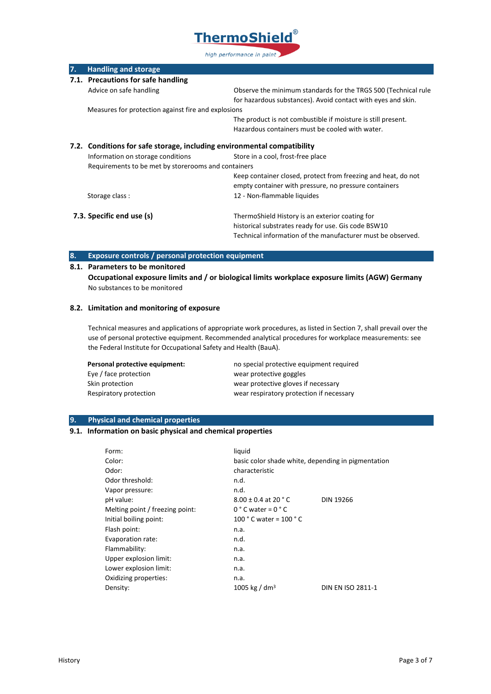

| 7.                        | <b>Handling and storage</b>                                             |                                                                |
|---------------------------|-------------------------------------------------------------------------|----------------------------------------------------------------|
|                           | 7.1. Precautions for safe handling                                      |                                                                |
|                           | Advice on safe handling                                                 | Observe the minimum standards for the TRGS 500 (Technical rule |
|                           |                                                                         | for hazardous substances). Avoid contact with eyes and skin.   |
|                           | Measures for protection against fire and explosions                     |                                                                |
|                           |                                                                         | The product is not combustible if moisture is still present.   |
|                           |                                                                         | Hazardous containers must be cooled with water.                |
|                           | 7.2. Conditions for safe storage, including environmental compatibility |                                                                |
|                           | Information on storage conditions                                       | Store in a cool, frost-free place                              |
|                           | Requirements to be met by storerooms and containers                     |                                                                |
|                           |                                                                         | Keep container closed, protect from freezing and heat, do not  |
|                           |                                                                         | empty container with pressure, no pressure containers          |
|                           | Storage class:                                                          | 12 - Non-flammable liquides                                    |
| 7.3. Specific end use (s) |                                                                         | ThermoShield History is an exterior coating for                |
|                           |                                                                         | historical substrates ready for use. Gis code BSW10            |
|                           |                                                                         | Technical information of the manufacturer must be observed.    |

## **8. Exposure controls / personal protection equipment**

## **8.1. Parameters to be monitored**

**Occupational exposure limits and / or biological limits workplace exposure limits (AGW) Germany** No substances to be monitored

## **8.2. Limitation and monitoring of exposure**

Technical measures and applications of appropriate work procedures, as listed in Section 7, shall prevail over the use of personal protective equipment. Recommended analytical procedures for workplace measurements: see the Federal Institute for Occupational Safety and Health (BauA).

| Personal protective equipment: | no special protective equipment required |
|--------------------------------|------------------------------------------|
| Eye / face protection          | wear protective goggles                  |
| Skin protection                | wear protective gloves if necessary      |
| Respiratory protection         | wear respiratory protection if necessary |

## **9. Physical and chemical properties**

## **9.1. Information on basic physical and chemical properties**

| Form:                           | liquid                                             |                   |
|---------------------------------|----------------------------------------------------|-------------------|
| Color:                          | basic color shade white, depending in pigmentation |                   |
| Odor:                           | characteristic                                     |                   |
| Odor threshold:                 | n.d.                                               |                   |
| Vapor pressure:                 | n.d.                                               |                   |
| pH value:                       | $8.00 \pm 0.4$ at 20 ° C                           | <b>DIN 19266</b>  |
| Melting point / freezing point: | $0 °C$ water = $0 °C$                              |                   |
| Initial boiling point:          | 100 $^{\circ}$ C water = 100 $^{\circ}$ C          |                   |
| Flash point:                    | n.a.                                               |                   |
| Evaporation rate:               | n.d.                                               |                   |
| Flammability:                   | n.a.                                               |                   |
| Upper explosion limit:          | n.a.                                               |                   |
| Lower explosion limit:          | n.a.                                               |                   |
| Oxidizing properties:           | n.a.                                               |                   |
| Density:                        | 1005 kg / dm <sup>3</sup>                          | DIN EN ISO 2811-1 |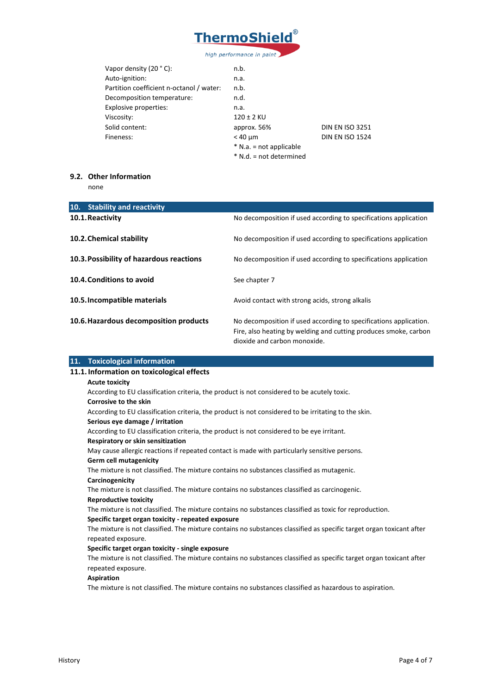

| n.b.                      |                        |
|---------------------------|------------------------|
| n.a.                      |                        |
| n.b.                      |                        |
| n.d.                      |                        |
| n.a.                      |                        |
| 120 ± 2 KU                |                        |
| approx. 56%               | <b>DIN EN ISO 3251</b> |
| $<$ 40 $\mu$ m            | <b>DIN EN ISO 1524</b> |
| $*$ N.a. = not applicable |                        |
| * N.d. = not determined   |                        |
|                           |                        |

# **9.2. Other Information**

none

| 10.<br><b>Stability and reactivity</b>   |                                                                                                                                                                       |
|------------------------------------------|-----------------------------------------------------------------------------------------------------------------------------------------------------------------------|
| 10.1. Reactivity                         | No decomposition if used according to specifications application                                                                                                      |
| 10.2. Chemical stability                 | No decomposition if used according to specifications application                                                                                                      |
| 10.3. Possibility of hazardous reactions | No decomposition if used according to specifications application                                                                                                      |
| 10.4. Conditions to avoid                | See chapter 7                                                                                                                                                         |
| 10.5. Incompatible materials             | Avoid contact with strong acids, strong alkalis                                                                                                                       |
| 10.6. Hazardous decomposition products   | No decomposition if used according to specifications application.<br>Fire, also heating by welding and cutting produces smoke, carbon<br>dioxide and carbon monoxide. |

| 11. Toxicological information                                                                                        |
|----------------------------------------------------------------------------------------------------------------------|
| 11.1. Information on toxicological effects                                                                           |
| <b>Acute toxicity</b>                                                                                                |
| According to EU classification criteria, the product is not considered to be acutely toxic.                          |
| Corrosive to the skin                                                                                                |
| According to EU classification criteria, the product is not considered to be irritating to the skin.                 |
| Serious eye damage / irritation                                                                                      |
| According to EU classification criteria, the product is not considered to be eye irritant.                           |
| Respiratory or skin sensitization                                                                                    |
| May cause allergic reactions if repeated contact is made with particularly sensitive persons.                        |
| <b>Germ cell mutagenicity</b>                                                                                        |
| The mixture is not classified. The mixture contains no substances classified as mutagenic.                           |
| Carcinogenicity                                                                                                      |
| The mixture is not classified. The mixture contains no substances classified as carcinogenic.                        |
| <b>Reproductive toxicity</b>                                                                                         |
| The mixture is not classified. The mixture contains no substances classified as toxic for reproduction.              |
| Specific target organ toxicity - repeated exposure                                                                   |
| The mixture is not classified. The mixture contains no substances classified as specific target organ toxicant after |
| repeated exposure.                                                                                                   |
| Specific target organ toxicity - single exposure                                                                     |
| The mixture is not classified. The mixture contains no substances classified as specific target organ toxicant after |
| repeated exposure.                                                                                                   |
| <b>Aspiration</b>                                                                                                    |
| The mixture is not classified. The mixture contains no substances classified as hazardous to aspiration.             |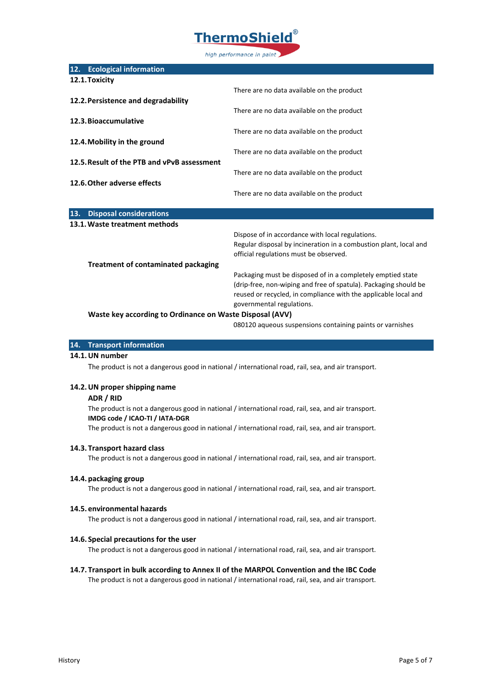

| There are no data available on the product                        |
|-------------------------------------------------------------------|
|                                                                   |
| There are no data available on the product                        |
|                                                                   |
| There are no data available on the product                        |
|                                                                   |
| There are no data available on the product                        |
|                                                                   |
| There are no data available on the product                        |
|                                                                   |
| There are no data available on the product                        |
|                                                                   |
|                                                                   |
| Dispose of in accordance with local regulations.                  |
| Regular disposal by incineration in a combustion plant, local and |
| official regulations must be observed.                            |
|                                                                   |
| Packaging must be disposed of in a completely emptied state       |
| (drip-free, non-wiping and free of spatula). Packaging should be  |
| reused or recycled, in compliance with the applicable local and   |
| governmental regulations.                                         |
| Waste key according to Ordinance on Waste Disposal (AVV)          |
|                                                                   |

080120 aqueous suspensions containing paints or varnishes

#### **14. Transport information**

### **14.1.UN number**

The product is not a dangerous good in national / international road, rail, sea, and air transport.

#### **14.2.UN proper shipping name**

#### **ADR / RID**

The product is not a dangerous good in national / international road, rail, sea, and air transport. **IMDG code / ICAO-TI / IATA-DGR**

The product is not a dangerous good in national / international road, rail, sea, and air transport.

#### **14.3. Transport hazard class**

The product is not a dangerous good in national / international road, rail, sea, and air transport.

#### **14.4. packaging group**

The product is not a dangerous good in national / international road, rail, sea, and air transport.

#### **14.5. environmental hazards**

The product is not a dangerous good in national / international road, rail, sea, and air transport.

#### **14.6. Special precautions for the user**

The product is not a dangerous good in national / international road, rail, sea, and air transport.

## **14.7. Transport in bulk according to Annex II of the MARPOL Convention and the IBC Code**

The product is not a dangerous good in national / international road, rail, sea, and air transport.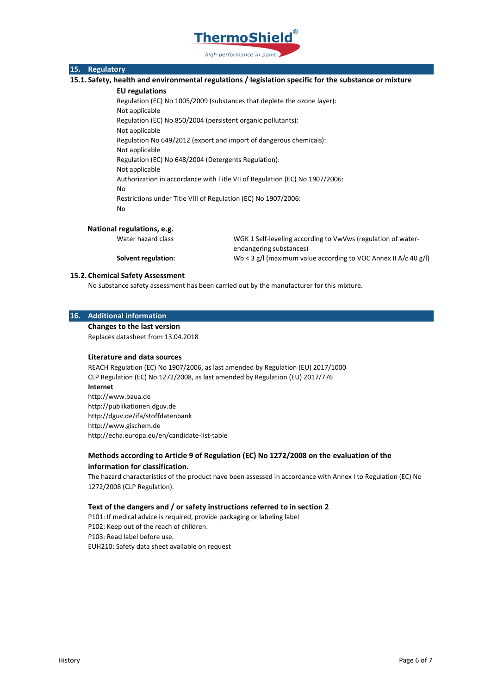

## **15. Regulatory**

**15.1. Safety, health and environmental regulations / legislation specific for the substance or mixture**

#### **EU regulations**

Regulation (EC) No 1005/2009 (substances that deplete the ozone layer): Not applicable Regulation (EC) No 850/2004 (persistent organic pollutants): Not applicable Regulation No 649/2012 (export and import of dangerous chemicals): Not applicable Regulation (EC) No 648/2004 (Detergents Regulation): Not applicable Authorization in accordance with Title VII of Regulation (EC) No 1907/2006: No Restrictions under Title VIII of Regulation (EC) No 1907/2006: No

#### **National regulations, e.g.**

Water hazard class WGK 1 Self-leveling according to VwVws (regulation of water-

endangering substances)

**Solvent regulation:** Wb < 3 g/l (maximum value according to VOC Annex II A/c 40 g/l)

#### **15.2. Chemical Safety Assessment**

No substance safety assessment has been carried out by the manufacturer for this mixture.

## **16. Additional information**

**Changes to the last version**

Replaces datasheet from 13.04.2018

## **Literature and data sources**

REACH Regulation (EC) No 1907/2006, as last amended by Regulation (EU) 2017/1000 CLP Regulation (EC) No 1272/2008, as last amended by Regulation (EU) 2017/776 **Internet** http://www.baua.de http://publikationen.dguv.de http://dguv.de/ifa/stoffdatenbank http://www.gischem.de http://echa.europa.eu/en/candidate-list-table

## **Methods according to Article 9 of Regulation (EC) No 1272/2008 on the evaluation of the information for classification.**

The hazard characteristics of the product have been assessed in accordance with Annex I to Regulation (EC) No 1272/2008 (CLP Regulation).

#### **Text of the dangers and / or safety instructions referred to in section 2**

P101: If medical advice is required, provide packaging or labeling label P102: Keep out of the reach of children. P103: Read label before use. EUH210: Safety data sheet available on request